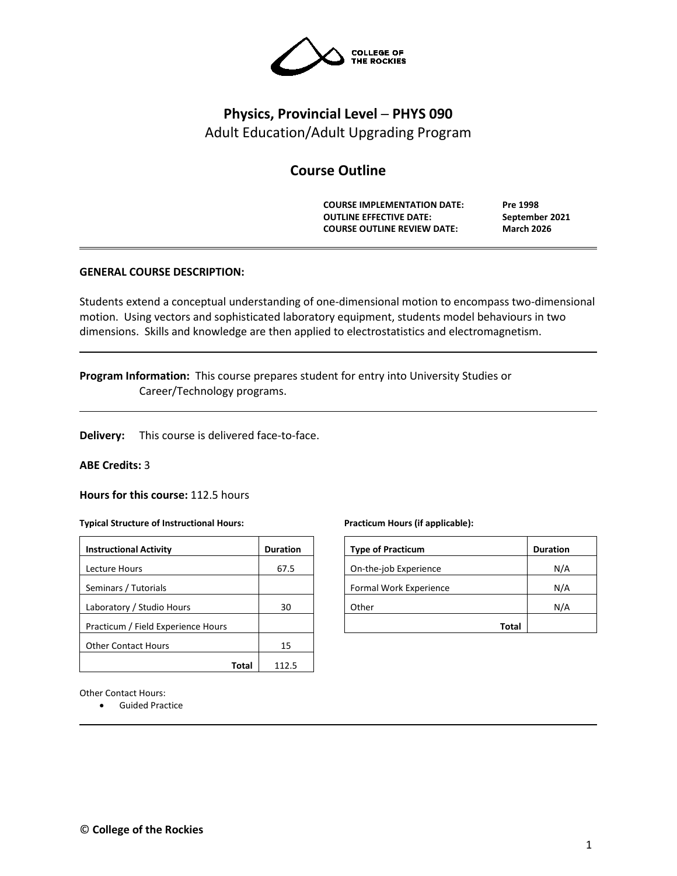

# **Physics, Provincial Level ─ PHYS 090** Adult Education/Adult Upgrading Program

## **Course Outline**

**COURSE IMPLEMENTATION DATE: Pre 1998 OUTLINE EFFECTIVE DATE: September 2021 COURSE OUTLINE REVIEW DATE: March 2026**

## **GENERAL COURSE DESCRIPTION:**

Students extend a conceptual understanding of one-dimensional motion to encompass two-dimensional motion. Using vectors and sophisticated laboratory equipment, students model behaviours in two dimensions. Skills and knowledge are then applied to electrostatistics and electromagnetism.

**Program Information:** This course prepares student for entry into University Studies or Career/Technology programs.

**Delivery:** This course is delivered face-to-face.

#### **ABE Credits:** 3

**Hours for this course:** 112.5 hours

#### **Typical Structure of Instructional Hours:**

| <b>Instructional Activity</b>      | <b>Duration</b> |  |  |
|------------------------------------|-----------------|--|--|
| Lecture Hours                      | 67.5            |  |  |
| Seminars / Tutorials               |                 |  |  |
| Laboratory / Studio Hours          | 30              |  |  |
| Practicum / Field Experience Hours |                 |  |  |
| <b>Other Contact Hours</b>         | 15              |  |  |
|                                    |                 |  |  |

Other Contact Hours:

• Guided Practice

#### **Practicum Hours (if applicable):**

| <b>Type of Practicum</b> | <b>Duration</b> |
|--------------------------|-----------------|
| On-the-job Experience    | N/A             |
| Formal Work Experience   | N/A             |
| Other                    | N/A             |
| Total                    |                 |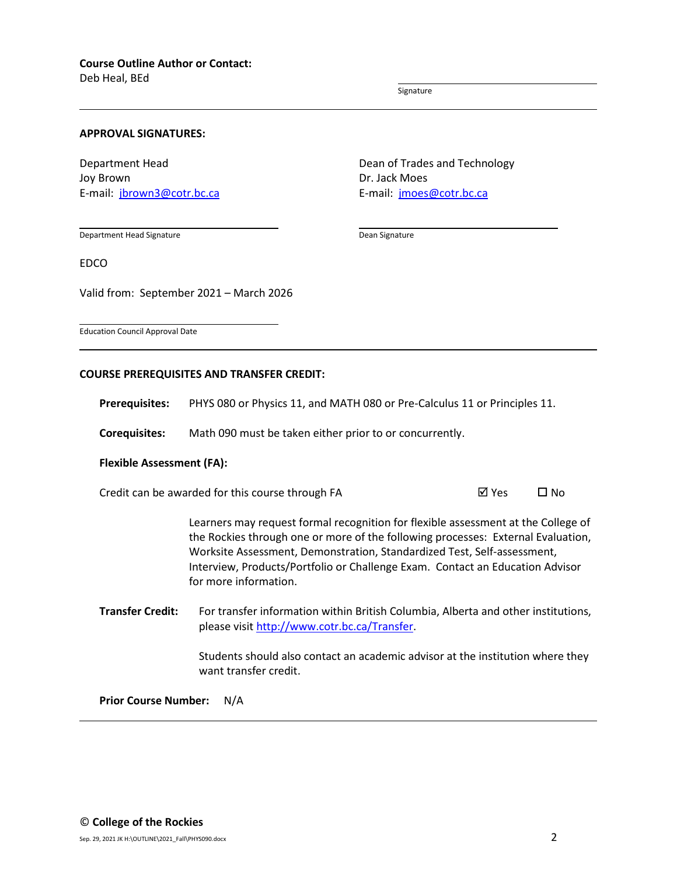Deb Heal, BEd

Signature

Dean Signature

### **APPROVAL SIGNATURES:**

Department Head Joy Brown E-mail: [jbrown3@cotr.bc.ca](mailto:jbrown3@cotr.bc.ca) Dean of Trades and Technology Dr. Jack Moes E-mail: [jmoes@cotr.bc.ca](mailto:jmoes@cotr.bc.ca)

Department Head Signature

EDCO

Valid from: September 2021 – March 2026

Education Council Approval Date

#### **COURSE PREREQUISITES AND TRANSFER CREDIT:**

**Prerequisites:** PHYS 080 or Physics 11, and MATH 080 or Pre-Calculus 11 or Principles 11.

**Corequisites:** Math 090 must be taken either prior to or concurrently.

#### **Flexible Assessment (FA):**

Credit can be awarded for this course through FA  $\boxtimes$  Yes  $\Box$  No

Learners may request formal recognition for flexible assessment at the College of the Rockies through one or more of the following processes: External Evaluation, Worksite Assessment, Demonstration, Standardized Test, Self-assessment, Interview, Products/Portfolio or Challenge Exam. Contact an Education Advisor for more information.

**Transfer Credit:** For transfer information within British Columbia, Alberta and other institutions, please visit [http://www.cotr.bc.ca/Transfer.](http://www.cotr.bc.ca/Transfer)

> Students should also contact an academic advisor at the institution where they want transfer credit.

**Prior Course Number:** N/A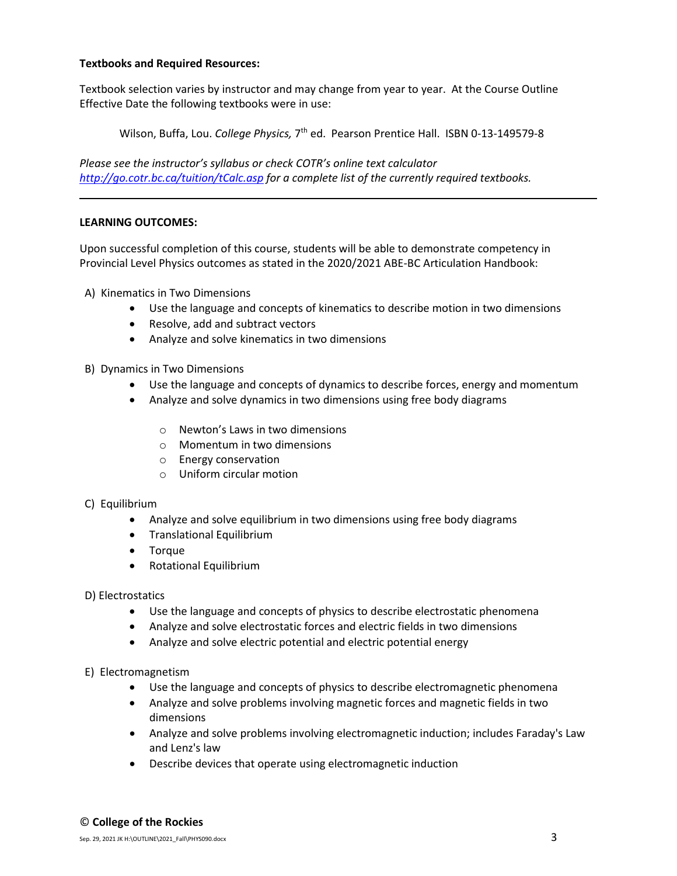## **Textbooks and Required Resources:**

Textbook selection varies by instructor and may change from year to year. At the Course Outline Effective Date the following textbooks were in use:

Wilson, Buffa, Lou. College Physics, 7<sup>th</sup> ed. Pearson Prentice Hall. ISBN 0-13-149579-8

*Please see the instructor's syllabus or check COTR's online text calculator <http://go.cotr.bc.ca/tuition/tCalc.asp> for a complete list of the currently required textbooks.*

## **LEARNING OUTCOMES:**

Upon successful completion of this course, students will be able to demonstrate competency in Provincial Level Physics outcomes as stated in the 2020/2021 ABE-BC Articulation Handbook:

- A) Kinematics in Two Dimensions
	- Use the language and concepts of kinematics to describe motion in two dimensions
	- Resolve, add and subtract vectors
	- Analyze and solve kinematics in two dimensions
- B) Dynamics in Two Dimensions
	- Use the language and concepts of dynamics to describe forces, energy and momentum
	- Analyze and solve dynamics in two dimensions using free body diagrams
		- o Newton's Laws in two dimensions
		- o Momentum in two dimensions
		- o Energy conservation
		- o Uniform circular motion
- C) Equilibrium
	- Analyze and solve equilibrium in two dimensions using free body diagrams
	- Translational Equilibrium
	- Torque
	- Rotational Equilibrium
- D) Electrostatics
	- Use the language and concepts of physics to describe electrostatic phenomena
	- Analyze and solve electrostatic forces and electric fields in two dimensions
	- Analyze and solve electric potential and electric potential energy
- E) Electromagnetism
	- Use the language and concepts of physics to describe electromagnetic phenomena
	- Analyze and solve problems involving magnetic forces and magnetic fields in two dimensions
	- Analyze and solve problems involving electromagnetic induction; includes Faraday's Law and Lenz's law
	- Describe devices that operate using electromagnetic induction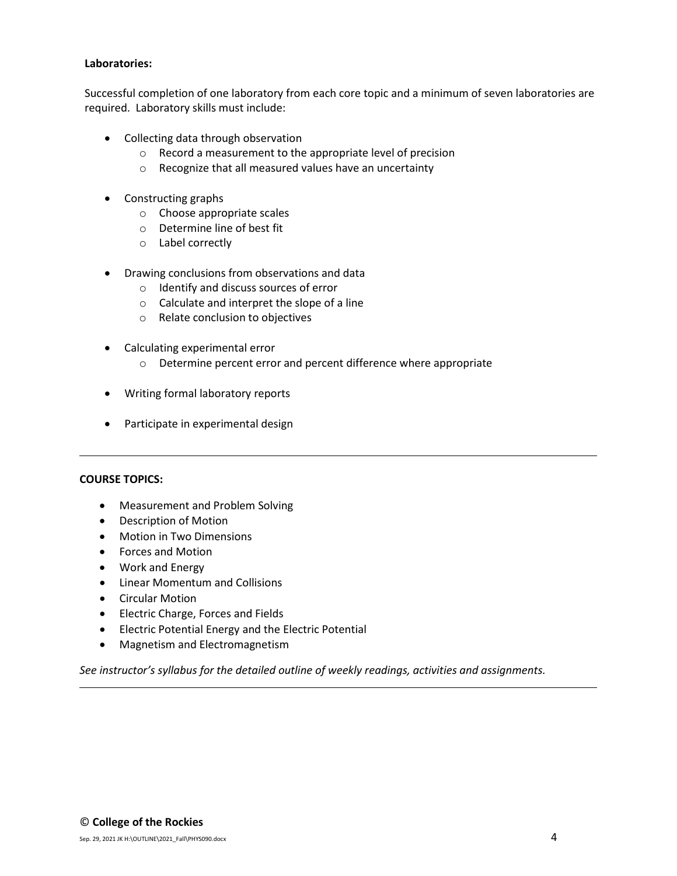## **Laboratories:**

Successful completion of one laboratory from each core topic and a minimum of seven laboratories are required. Laboratory skills must include:

- Collecting data through observation
	- o Record a measurement to the appropriate level of precision
	- o Recognize that all measured values have an uncertainty
- Constructing graphs
	- o Choose appropriate scales
	- o Determine line of best fit
	- o Label correctly
- Drawing conclusions from observations and data
	- o Identify and discuss sources of error
	- o Calculate and interpret the slope of a line
	- o Relate conclusion to objectives
- Calculating experimental error
	- o Determine percent error and percent difference where appropriate
- Writing formal laboratory reports
- Participate in experimental design

## **COURSE TOPICS:**

- Measurement and Problem Solving
- Description of Motion
- Motion in Two Dimensions
- Forces and Motion
- Work and Energy
- Linear Momentum and Collisions
- Circular Motion
- Electric Charge, Forces and Fields
- Electric Potential Energy and the Electric Potential
- Magnetism and Electromagnetism

*See instructor's syllabus for the detailed outline of weekly readings, activities and assignments.*